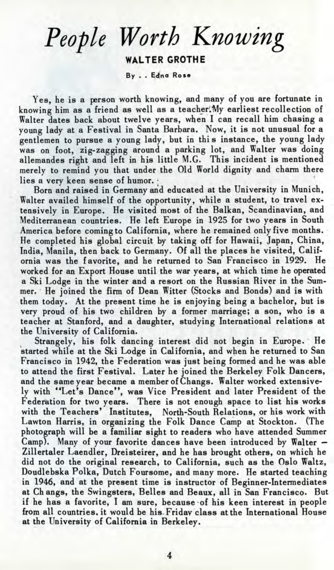## *People Worth Knowing* **WALTER GROTHE**

**By . . Edina Rose**

Yes, he is a person worth knowing, and many of you are fortunate in knowing him as a friend as well as a teacher. My earliest recollection of Walter dates back about twelve years, when I can recall him chasing a young lady at a Festival in Santa Barbara. Now, it is not unusual for a gentlemen to pursue a young lady, but in this instance, the young lady was on foot, zig-zagging around a parking lot, and Walter was doing allemandes right and left in his little M.G. This incident is mentioned merely to remind you that under the Old World dignity and charm there lies a very keen sense of humor.

Born and raised in Germany and educated at the University in Munich, Walter availed himself of the opportunity, while a student, to travel extensively in Europe. He visited most of the Balkan, Scandinavian, and Mediterranean countries. He left Europe in 1925 for two years in South America before coming to California, where he remained only five months. He completed his global circuit by taking off for Hawaii, Japan, China, India, Manila, then back to Germany. Of all the places he visited, California was the favorite, and he returned to San Francisco in 1929. He worked for an Export House until the war years, at which time he operated a Ski Lodge in the winter and a resort on the Russian River in the Summer. He joined the firm of Dean Witter (Stocks and Bonds) and is with them today. At the present time he is enjoying being a bachelor, but is very proud of his two children by a former marriage; a son, who is a teacher at Stanford, and a daughter, studying International relations at the University of California.

Strangely, his folk dancing interest did not begin in Europe. He started while at the Ski Lodge in California, and when he returned to San Francisco in 1942, the Federation was just being formed and he was able to attend the first Festival. Later he joined the Berkeley Folk Dancers, and the same year became a member of Changs. Walter worked extensively with "Let's Dance", was Vice President and later President of the Federation for two years. There is not enough space to list his works with the Teachers' Institutes, North-South Relations, or his work with Lawton Harris, in organizing the Folk Dance Camp at Stockton. (The photograph will be a familiar sight to readers who have attended Summer Camp). Many of your favorite dances have been introduced by Walter — Zillertaler Laendler, Dreisteirer, and he has brought others, on which he did not do the original research, to California, such as the Oslo Waltz, Doudlebska Polka, Dutch Foursome, and many more. He started teaching in 1946, and at the present time is instructor of Beginner-Intermediates at Ch angs, the Swingsters, Belles and Beaux, all in San Francisco. But if he has a favorite, I am sure, because of his keen interest in people from all countries, it would be his. Friday class at the International House at the University of California in Berkeley.